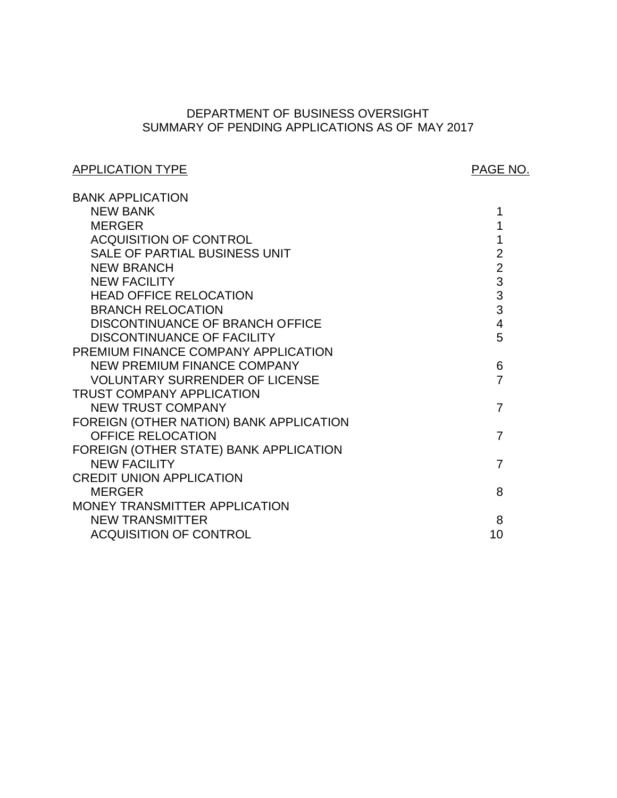# SUMMARY OF PENDING APPLICATIONS AS OF MAY 2017 DEPARTMENT OF BUSINESS OVERSIGHT

# APPLICATION TYPE APPLICATION TYPE

| <b>BANK APPLICATION</b>                 |                |
|-----------------------------------------|----------------|
| <b>NEW BANK</b>                         | 1              |
| <b>MERGER</b>                           |                |
| <b>ACQUISITION OF CONTROL</b>           |                |
| SALE OF PARTIAL BUSINESS UNIT           | $\overline{2}$ |
| <b>NEW BRANCH</b>                       | $\overline{2}$ |
| <b>NEW FACILITY</b>                     | 3              |
| <b>HEAD OFFICE RELOCATION</b>           | 3              |
| <b>BRANCH RELOCATION</b>                | 3              |
| DISCONTINUANCE OF BRANCH OFFICE         | $\overline{4}$ |
| <b>DISCONTINUANCE OF FACILITY</b>       | 5              |
| PREMIUM FINANCE COMPANY APPLICATION     |                |
| <b>NEW PREMIUM FINANCE COMPANY</b>      | 6              |
| <b>VOLUNTARY SURRENDER OF LICENSE</b>   | $\overline{7}$ |
| <b>TRUST COMPANY APPLICATION</b>        |                |
| <b>NEW TRUST COMPANY</b>                | $\overline{7}$ |
| FOREIGN (OTHER NATION) BANK APPLICATION |                |
| <b>OFFICE RELOCATION</b>                | $\overline{7}$ |
| FOREIGN (OTHER STATE) BANK APPLICATION  |                |
| <b>NEW FACILITY</b>                     | 7              |
| <b>CREDIT UNION APPLICATION</b>         |                |
| <b>MERGER</b>                           | 8              |
| MONEY TRANSMITTER APPLICATION           |                |
| <b>NEW TRANSMITTER</b>                  | 8              |
| <b>ACQUISITION OF CONTROL</b>           | 10             |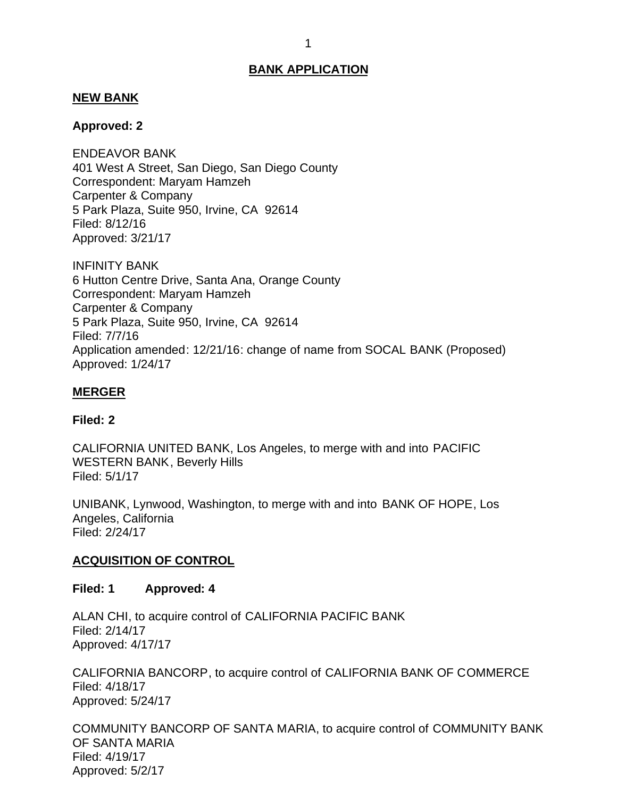## <span id="page-1-0"></span>**NEW BANK**

## **Approved: 2**

 401 West A Street, San Diego, San Diego County Correspondent: Maryam Hamzeh Carpenter & Company 5 Park Plaza, Suite 950, Irvine, CA 92614 ENDEAVOR BANK Filed: 8/12/16 Approved: 3/21/17

 6 Hutton Centre Drive, Santa Ana, Orange County Correspondent: Maryam Hamzeh Carpenter & Company 5 Park Plaza, Suite 950, Irvine, CA 92614 INFINITY BANK Filed: 7/7/16 Application amended: 12/21/16: change of name from SOCAL BANK (Proposed) Approved: 1/24/17

## **MERGER**

#### **Filed: 2**

 CALIFORNIA UNITED BANK, Los Angeles, to merge with and into PACIFIC WESTERN BANK, Beverly Hills Filed: 5/1/17

 UNIBANK, Lynwood, Washington, to merge with and into BANK OF HOPE, Los Angeles, California Filed: 2/24/17

# **ACQUISITION OF CONTROL**

#### **Filed: 1 Approved: 4**

 ALAN CHI, to acquire control of CALIFORNIA PACIFIC BANK Filed: 2/14/17 Approved: 4/17/17

 CALIFORNIA BANCORP, to acquire control of CALIFORNIA BANK OF COMMERCE Filed: 4/18/17 Approved: 5/24/17

 COMMUNITY BANCORP OF SANTA MARIA, to acquire control of COMMUNITY BANK OF SANTA MARIA Filed: 4/19/17 Approved: 5/2/17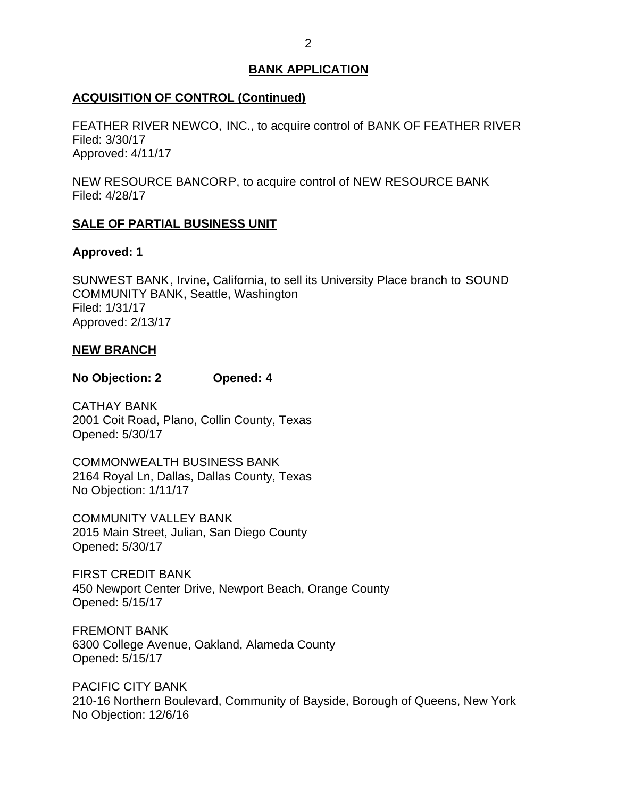# <span id="page-2-0"></span>**ACQUISITION OF CONTROL (Continued)**

 FEATHER RIVER NEWCO, INC., to acquire control of BANK OF FEATHER RIVER Filed: 3/30/17 Approved: 4/11/17

 NEW RESOURCE BANCORP, to acquire control of NEW RESOURCE BANK Filed: 4/28/17

# **SALE OF PARTIAL BUSINESS UNIT**

# **Approved: 1**

 SUNWEST BANK, Irvine, California, to sell its University Place branch to SOUND COMMUNITY BANK, Seattle, Washington Filed: 1/31/17 Approved: 2/13/17

# **NEW BRANCH**

## **No Objection: 2 Opened: 4**

 2001 Coit Road, Plano, Collin County, Texas CATHAY BANK Opened: 5/30/17

 2164 Royal Ln, Dallas, Dallas County, Texas No Objection: 1/11/17 COMMONWEALTH BUSINESS BANK

 COMMUNITY VALLEY BANK 2015 Main Street, Julian, San Diego County Opened: 5/30/17

 FIRST CREDIT BANK 450 Newport Center Drive, Newport Beach, Orange County Opened: 5/15/17

 6300 College Avenue, Oakland, Alameda County FREMONT BANK Opened: 5/15/17

 210-16 Northern Boulevard, Community of Bayside, Borough of Queens, New York No Objection: 12/6/16 PACIFIC CITY BANK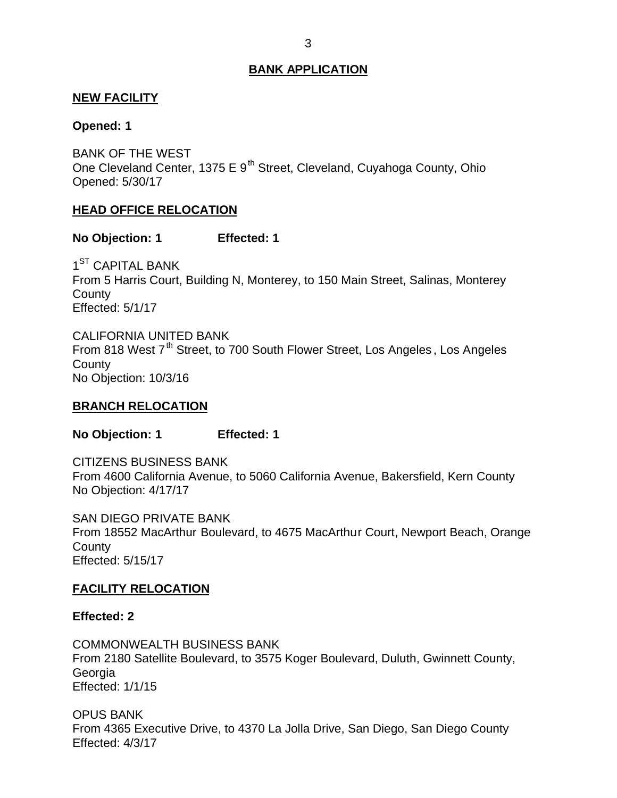## <span id="page-3-0"></span>**NEW FACILITY**

#### **Opened: 1**

 BANK OF THE WEST One Cleveland Center, 1375 E  $9<sup>th</sup>$  Street, Cleveland, Cuyahoga County, Ohio Opened: 5/30/17

#### **HEAD OFFICE RELOCATION**

#### **No Objection: 1 Effected: 1**

 From 5 Harris Court, Building N, Monterey, to 150 Main Street, Salinas, Monterey  $1<sup>ST</sup>$  CAPITAL BANK **County** Effected: 5/1/17

From 818 West 7<sup>th</sup> Street, to 700 South Flower Street, Los Angeles, Los Angeles No Objection: 10/3/16 CALIFORNIA UNITED BANK **County** 

#### **BRANCH RELOCATION**

**No Objection: 1 Effected: 1** 

 From 4600 California Avenue, to 5060 California Avenue, Bakersfield, Kern County No Objection: 4/17/17 CITIZENS BUSINESS BANK

 SAN DIEGO PRIVATE BANK From 18552 MacArthur Boulevard, to 4675 MacArthur Court, Newport Beach, Orange **County** Effected: 5/15/17

#### **FACILITY RELOCATION**

#### **Effected: 2**

 From 2180 Satellite Boulevard, to 3575 Koger Boulevard, Duluth, Gwinnett County, COMMONWEALTH BUSINESS BANK Georgia Effected: 1/1/15

 From 4365 Executive Drive, to 4370 La Jolla Drive, San Diego, San Diego County OPUS BANK Effected: 4/3/17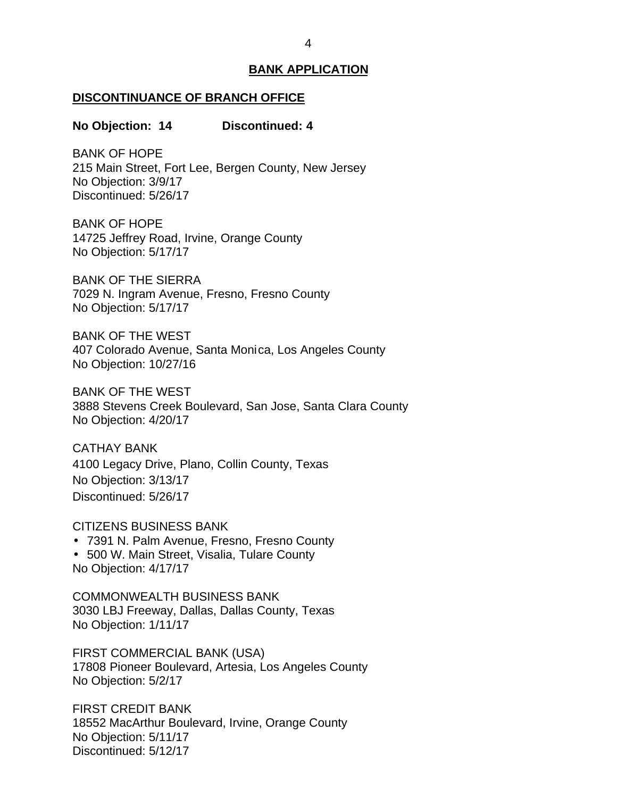#### <span id="page-4-0"></span>**DISCONTINUANCE OF BRANCH OFFICE**

#### **No Objection: 14 Discontinued: 4**

 215 Main Street, Fort Lee, Bergen County, New Jersey No Objection: 3/9/17 BANK OF HOPE Discontinued: 5/26/17

 14725 Jeffrey Road, Irvine, Orange County No Objection: 5/17/17 BANK OF HOPE

 BANK OF THE SIERRA 7029 N. Ingram Avenue, Fresno, Fresno County No Objection: 5/17/17

 BANK OF THE WEST 407 Colorado Avenue, Santa Monica, Los Angeles County No Objection: 10/27/16

 BANK OF THE WEST 3888 Stevens Creek Boulevard, San Jose, Santa Clara County No Objection: 4/20/17

 4100 Legacy Drive, Plano, Collin County, Texas No Objection: 3/13/17 CATHAY BANK Discontinued: 5/26/17

CITIZENS BUSINESS BANK

7391 N. Palm Avenue, Fresno, Fresno County

 500 W. Main Street, Visalia, Tulare County No Objection: 4/17/17

 3030 LBJ Freeway, Dallas, Dallas County, Texas No Objection: 1/11/17 COMMONWEALTH BUSINESS BANK

 FIRST COMMERCIAL BANK (USA) 17808 Pioneer Boulevard, Artesia, Los Angeles County No Objection: 5/2/17

 FIRST CREDIT BANK 18552 MacArthur Boulevard, Irvine, Orange County No Objection: 5/11/17 Discontinued: 5/12/17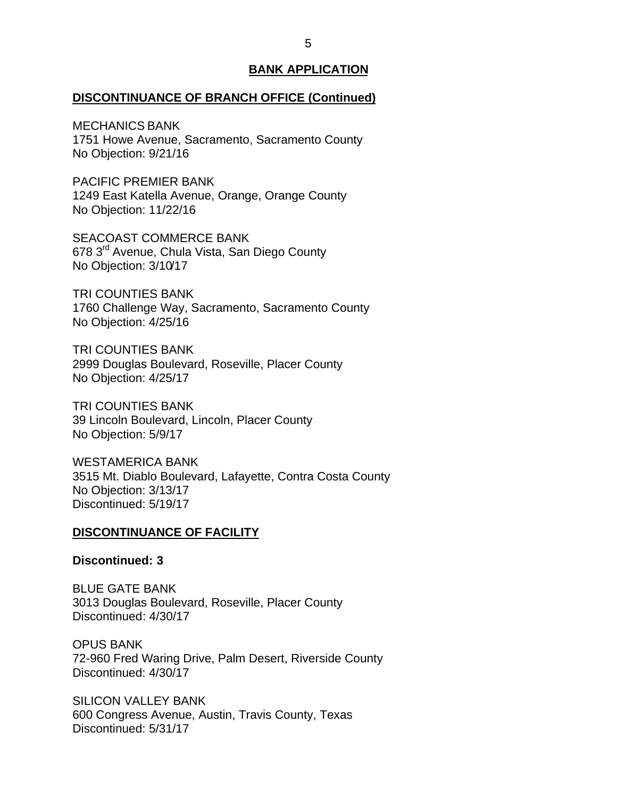#### <span id="page-5-0"></span>**DISCONTINUANCE OF BRANCH OFFICE (Continued)**

 1751 Howe Avenue, Sacramento, Sacramento County No Objection: 9/21/16 MECHANICS BANK

 PACIFIC PREMIER BANK 1249 East Katella Avenue, Orange, Orange County No Objection: 11/22/16

678 3<sup>rd</sup> Avenue, Chula Vista, San Diego County No Objection: 3/10/17 SEACOAST COMMERCE BANK

 1760 Challenge Way, Sacramento, Sacramento County No Objection: 4/25/16 TRI COUNTIES BANK

 2999 Douglas Boulevard, Roseville, Placer County No Objection: 4/25/17 TRI COUNTIES BANK

 39 Lincoln Boulevard, Lincoln, Placer County TRI COUNTIES BANK No Objection: 5/9/17

 3515 Mt. Diablo Boulevard, Lafayette, Contra Costa County No Objection: 3/13/17 WESTAMERICA BANK Discontinued: 5/19/17

#### **DISCONTINUANCE OF FACILITY**

**Discontinued: 3** 

 BLUE GATE BANK 3013 Douglas Boulevard, Roseville, Placer County Discontinued: 4/30/17

 72-960 Fred Waring Drive, Palm Desert, Riverside County OPUS BANK Discontinued: 4/30/17

 600 Congress Avenue, Austin, Travis County, Texas SILICON VALLEY BANK Discontinued: 5/31/17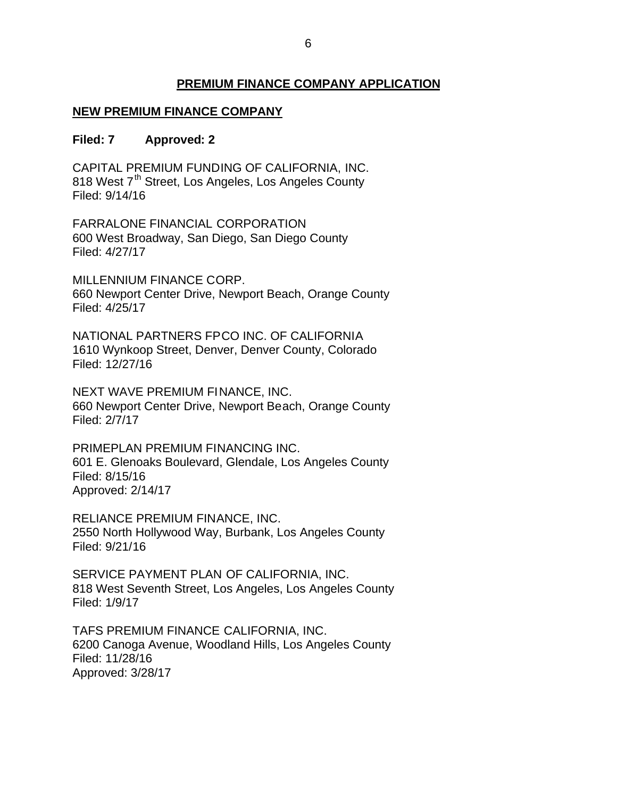# **PREMIUM FINANCE COMPANY APPLICATION**

# <span id="page-6-0"></span> **NEW PREMIUM FINANCE COMPANY**

#### **Filed: 7 Approved: 2**

 CAPITAL PREMIUM FUNDING OF CALIFORNIA, INC. 818 West 7<sup>th</sup> Street, Los Angeles, Los Angeles County Filed: 9/14/16

 600 West Broadway, San Diego, San Diego County FARRALONE FINANCIAL CORPORATION Filed: 4/27/17

 MILLENNIUM FINANCE CORP. 660 Newport Center Drive, Newport Beach, Orange County Filed: 4/25/17

 NATIONAL PARTNERS FPCO INC. OF CALIFORNIA 1610 Wynkoop Street, Denver, Denver County, Colorado Filed: 12/27/16

 NEXT WAVE PREMIUM FINANCE, INC. 660 Newport Center Drive, Newport Beach, Orange County Filed: 2/7/17

 601 E. Glenoaks Boulevard, Glendale, Los Angeles County PRIMEPLAN PREMIUM FINANCING INC. Filed: 8/15/16 Approved: 2/14/17

 RELIANCE PREMIUM FINANCE, INC. 2550 North Hollywood Way, Burbank, Los Angeles County Filed: 9/21/16

 SERVICE PAYMENT PLAN OF CALIFORNIA, INC. 818 West Seventh Street, Los Angeles, Los Angeles County Filed: 1/9/17

 TAFS PREMIUM FINANCE CALIFORNIA, INC. 6200 Canoga Avenue, Woodland Hills, Los Angeles County Filed: 11/28/16 Approved: 3/28/17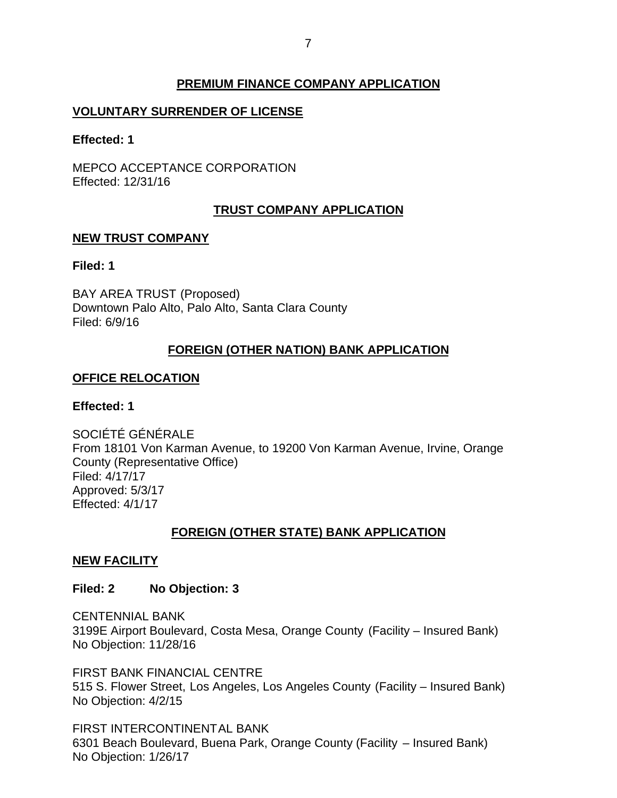# **PREMIUM FINANCE COMPANY APPLICATION**

# <span id="page-7-0"></span>**VOLUNTARY SURRENDER OF LICENSE**

**Effected: 1** 

MEPCO ACCEPTANCE CORPORATION Effected: 12/31/16

# **TRUST COMPANY APPLICATION**

## **NEW TRUST COMPANY**

## **Filed: 1**

 BAY AREA TRUST (Proposed) Downtown Palo Alto, Palo Alto, Santa Clara County Filed: 6/9/16

# **FOREIGN (OTHER NATION) BANK APPLICATION**

# **OFFICE RELOCATION**

# **Effected: 1**

 From 18101 Von Karman Avenue, to 19200 Von Karman Avenue, Irvine, Orange SOCIÉTÉ GÉNÉRALE County (Representative Office) Filed: 4/17/17 Approved: 5/3/17 Effected: 4/1/17

# **FOREIGN (OTHER STATE) BANK APPLICATION**

# **NEW FACILITY**

#### **Filed: 2 No Objection: 3**

 3199E Airport Boulevard, Costa Mesa, Orange County (Facility – Insured Bank) No Objection: 11/28/16 CENTENNIAL BANK

 FIRST BANK FINANCIAL CENTRE 515 S. Flower Street, Los Angeles, Los Angeles County (Facility – Insured Bank) No Objection: 4/2/15

 6301 Beach Boulevard, Buena Park, Orange County (Facility – Insured Bank) No Objection: 1/26/17 FIRST INTERCONTINENTAL BANK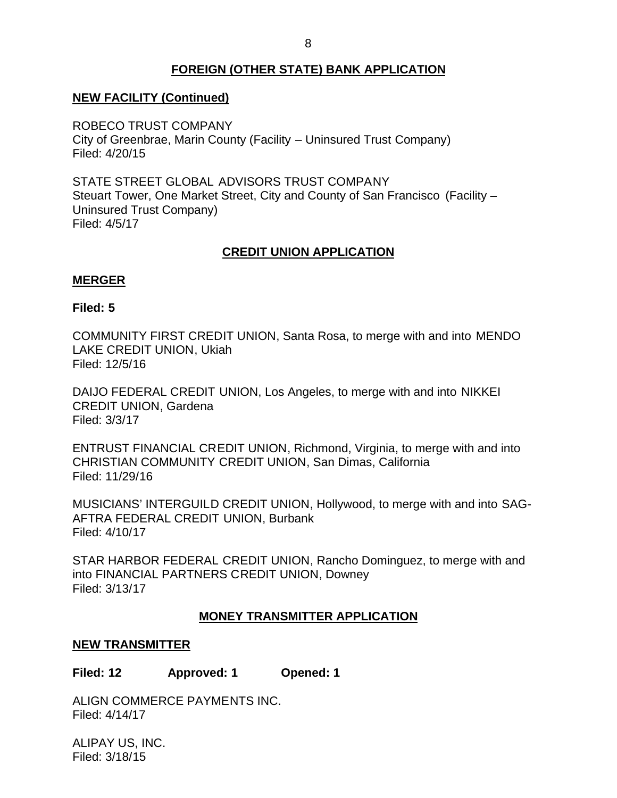# **FOREIGN (OTHER STATE) BANK APPLICATION**

## <span id="page-8-0"></span>**NEW FACILITY (Continued)**

 ROBECO TRUST COMPANY City of Greenbrae, Marin County (Facility – Uninsured Trust Company) Filed: 4/20/15

 STATE STREET GLOBAL ADVISORS TRUST COMPANY Steuart Tower, One Market Street, City and County of San Francisco (Facility – Uninsured Trust Company) Filed: 4/5/17

# **CREDIT UNION APPLICATION**

#### **MERGER**

#### **Filed: 5**

 COMMUNITY FIRST CREDIT UNION, Santa Rosa, to merge with and into MENDO LAKE CREDIT UNION, Ukiah Filed: 12/5/16

 DAIJO FEDERAL CREDIT UNION, Los Angeles, to merge with and into NIKKEI CREDIT UNION, Gardena Filed: 3/3/17

 ENTRUST FINANCIAL CREDIT UNION, Richmond, Virginia, to merge with and into CHRISTIAN COMMUNITY CREDIT UNION, San Dimas, California Filed: 11/29/16

 MUSICIANS' INTERGUILD CREDIT UNION, Hollywood, to merge with and into SAG- AFTRA FEDERAL CREDIT UNION, Burbank Filed: 4/10/17

 STAR HARBOR FEDERAL CREDIT UNION, Rancho Dominguez, to merge with and into FINANCIAL PARTNERS CREDIT UNION, Downey Filed: 3/13/17

#### **MONEY TRANSMITTER APPLICATION**

#### **NEW TRANSMITTER**

**Filed: 12 Approved: 1 Opened: 1** 

ALIGN COMMERCE PAYMENTS INC. Filed: 4/14/17

 ALIPAY US, INC. Filed: 3/18/15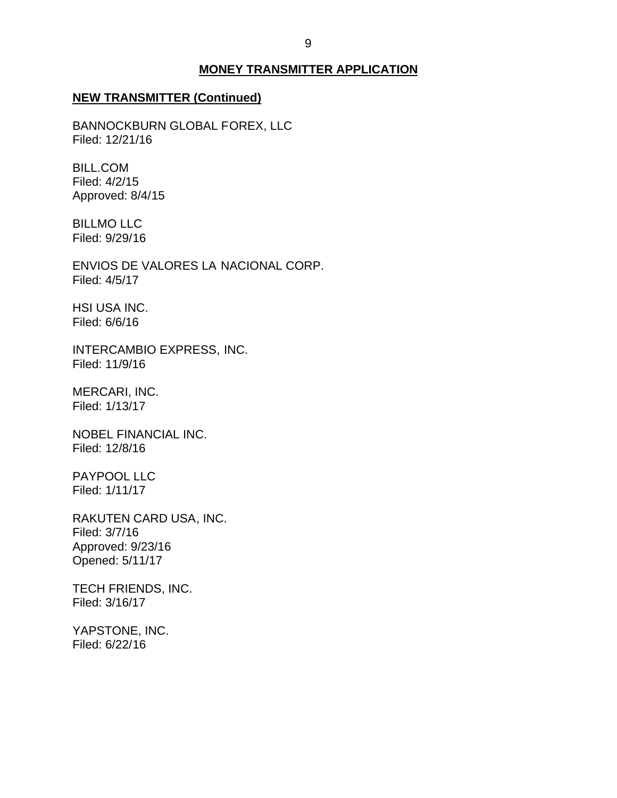#### **MONEY TRANSMITTER APPLICATION**

#### **NEW TRANSMITTER (Continued)**

BANNOCKBURN GLOBAL FOREX, LLC Filed: 12/21/16

BILL.COM Filed: 4/2/15 Approved: 8/4/15

BILLMO LLC Filed: 9/29/16

 ENVIOS DE VALORES LA NACIONAL CORP. Filed: 4/5/17

HSI USA INC. Filed: 6/6/16

INTERCAMBIO EXPRESS, INC. Filed: 11/9/16

MERCARI, INC. Filed: 1/13/17

NOBEL FINANCIAL INC. Filed: 12/8/16

PAYPOOL LLC Filed: 1/11/17

RAKUTEN CARD USA, INC. Filed: 3/7/16 Approved: 9/23/16 Opened: 5/11/17

TECH FRIENDS, INC. Filed: 3/16/17

YAPSTONE, INC. Filed: 6/22/16